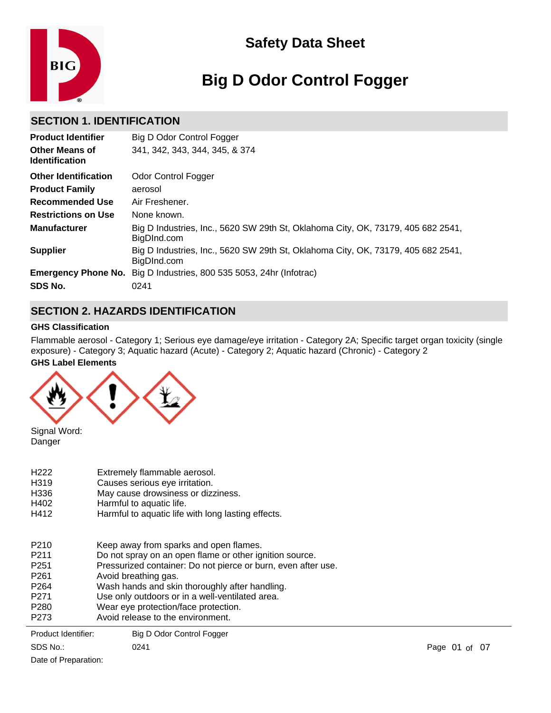

# **Big D Odor Control Fogger**

# **SECTION 1. IDENTIFICATION**

| <b>Product Identifier</b>                      | Big D Odor Control Fogger                                                                       |
|------------------------------------------------|-------------------------------------------------------------------------------------------------|
| <b>Other Means of</b><br><b>Identification</b> | 341, 342, 343, 344, 345, & 374                                                                  |
| <b>Other Identification</b>                    | Odor Control Fogger                                                                             |
| <b>Product Family</b>                          | aerosol                                                                                         |
| <b>Recommended Use</b>                         | Air Freshener.                                                                                  |
| <b>Restrictions on Use</b>                     | None known.                                                                                     |
| <b>Manufacturer</b>                            | Big D Industries, Inc., 5620 SW 29th St, Oklahoma City, OK, 73179, 405 682 2541,<br>BigDInd.com |
| <b>Supplier</b>                                | Big D Industries, Inc., 5620 SW 29th St, Oklahoma City, OK, 73179, 405 682 2541,<br>BigDInd.com |
|                                                | <b>Emergency Phone No.</b> Big D Industries, 800 535 5053, 24hr (Infotrac)                      |
| SDS No.                                        | 0241                                                                                            |

# **SECTION 2. HAZARDS IDENTIFICATION**

### **GHS Classification**

**GHS Label Elements** Flammable aerosol - Category 1; Serious eye damage/eye irritation - Category 2A; Specific target organ toxicity (single exposure) - Category 3; Aquatic hazard (Acute) - Category 2; Aquatic hazard (Chronic) - Category 2



Signal Word: Danger

| Product Identifier: | Big D Odor Control Fogger                                     |
|---------------------|---------------------------------------------------------------|
| P273                | Avoid release to the environment.                             |
| P280                | Wear eye protection/face protection.                          |
| P271                | Use only outdoors or in a well-ventilated area.               |
| P <sub>264</sub>    | Wash hands and skin thoroughly after handling.                |
| P261                | Avoid breathing gas.                                          |
| P251                | Pressurized container: Do not pierce or burn, even after use. |
| P211                | Do not spray on an open flame or other ignition source.       |
| P210                | Keep away from sparks and open flames.                        |
| H412                | Harmful to aquatic life with long lasting effects.            |
| H402                | Harmful to aquatic life.                                      |
| H336                | May cause drowsiness or dizziness.                            |
| H319                | Causes serious eye irritation.                                |
| H222                | Extremely flammable aerosol.                                  |

SDS No.: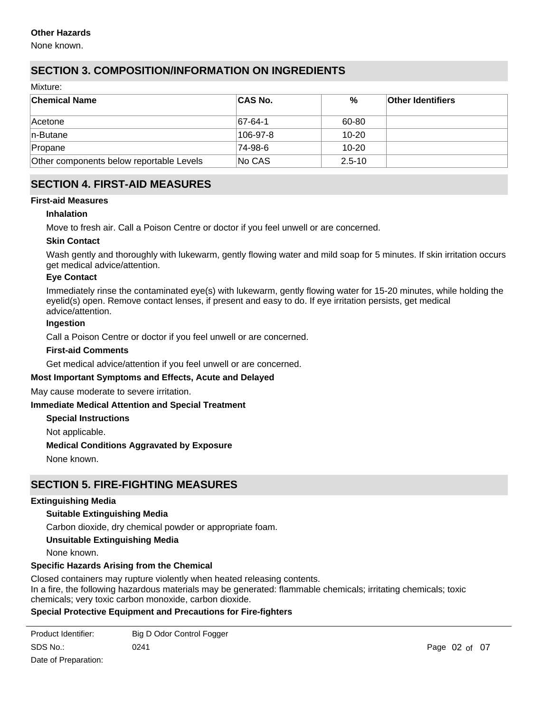#### **Other Hazards**

None known.

# **SECTION 3. COMPOSITION/INFORMATION ON INGREDIENTS**

Mixture:

| <b>Chemical Name</b>                     | <b>CAS No.</b> | %          | <b>Other Identifiers</b> |
|------------------------------------------|----------------|------------|--------------------------|
| ∣Acetone                                 | $ 67-64-1$     | 60-80      |                          |
| $ n$ -Butane                             | 106-97-8       | 10-20      |                          |
| Propane                                  | 74-98-6        | $10 - 20$  |                          |
| Other components below reportable Levels | No CAS         | $2.5 - 10$ |                          |

# **SECTION 4. FIRST-AID MEASURES**

#### **First-aid Measures**

#### **Inhalation**

Move to fresh air. Call a Poison Centre or doctor if you feel unwell or are concerned.

#### **Skin Contact**

Wash gently and thoroughly with lukewarm, gently flowing water and mild soap for 5 minutes. If skin irritation occurs get medical advice/attention.

#### **Eye Contact**

Immediately rinse the contaminated eye(s) with lukewarm, gently flowing water for 15-20 minutes, while holding the eyelid(s) open. Remove contact lenses, if present and easy to do. If eye irritation persists, get medical advice/attention.

#### **Ingestion**

Call a Poison Centre or doctor if you feel unwell or are concerned.

#### **First-aid Comments**

Get medical advice/attention if you feel unwell or are concerned.

#### **Most Important Symptoms and Effects, Acute and Delayed**

May cause moderate to severe irritation.

#### **Immediate Medical Attention and Special Treatment**

**Special Instructions**

Not applicable.

#### **Medical Conditions Aggravated by Exposure**

None known.

# **SECTION 5. FIRE-FIGHTING MEASURES**

#### **Extinguishing Media**

#### **Suitable Extinguishing Media**

Carbon dioxide, dry chemical powder or appropriate foam.

#### **Unsuitable Extinguishing Media**

None known.

#### **Specific Hazards Arising from the Chemical**

Closed containers may rupture violently when heated releasing contents. In a fire, the following hazardous materials may be generated: flammable chemicals; irritating chemicals; toxic chemicals; very toxic carbon monoxide, carbon dioxide.

#### **Special Protective Equipment and Precautions for Fire-fighters**

| Product Identifier: | Big D Odor Control Fogger |    |
|---------------------|---------------------------|----|
| SDS No.:            | 0241                      | Pa |

Date of Preparation: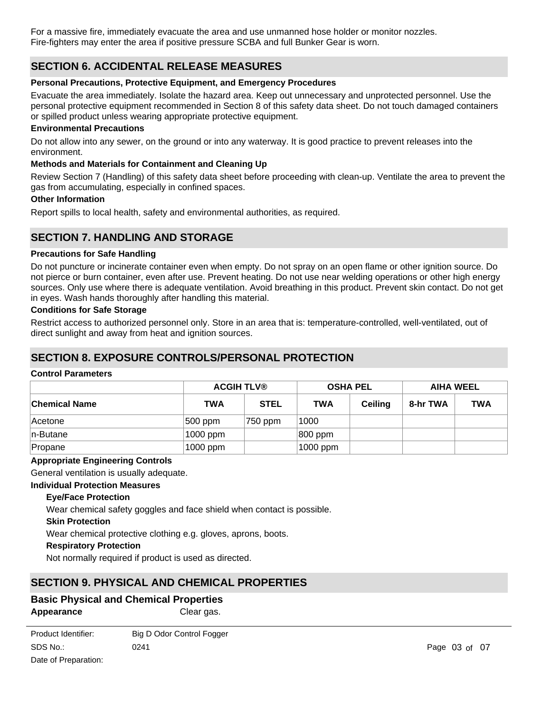For a massive fire, immediately evacuate the area and use unmanned hose holder or monitor nozzles. Fire-fighters may enter the area if positive pressure SCBA and full Bunker Gear is worn.

# **SECTION 6. ACCIDENTAL RELEASE MEASURES**

#### **Personal Precautions, Protective Equipment, and Emergency Procedures**

Evacuate the area immediately. Isolate the hazard area. Keep out unnecessary and unprotected personnel. Use the personal protective equipment recommended in Section 8 of this safety data sheet. Do not touch damaged containers or spilled product unless wearing appropriate protective equipment.

#### **Environmental Precautions**

Do not allow into any sewer, on the ground or into any waterway. It is good practice to prevent releases into the environment.

#### **Methods and Materials for Containment and Cleaning Up**

Review Section 7 (Handling) of this safety data sheet before proceeding with clean-up. Ventilate the area to prevent the gas from accumulating, especially in confined spaces.

#### **Other Information**

Report spills to local health, safety and environmental authorities, as required.

# **SECTION 7. HANDLING AND STORAGE**

#### **Precautions for Safe Handling**

Do not puncture or incinerate container even when empty. Do not spray on an open flame or other ignition source. Do not pierce or burn container, even after use. Prevent heating. Do not use near welding operations or other high energy sources. Only use where there is adequate ventilation. Avoid breathing in this product. Prevent skin contact. Do not get in eyes. Wash hands thoroughly after handling this material.

#### **Conditions for Safe Storage**

Restrict access to authorized personnel only. Store in an area that is: temperature-controlled, well-ventilated, out of direct sunlight and away from heat and ignition sources.

# **SECTION 8. EXPOSURE CONTROLS/PERSONAL PROTECTION**

#### **Control Parameters**

|                      | <b>ACGIH TLV®</b> |             | <b>OSHA PEL</b> |         | AIHA WEEL |            |
|----------------------|-------------------|-------------|-----------------|---------|-----------|------------|
| <b>Chemical Name</b> | <b>TWA</b>        | <b>STEL</b> | <b>TWA</b>      | Ceiling | 8-hr TWA  | <b>TWA</b> |
| ∣Acetone             | 500 ppm           | 750 ppm     | 1000            |         |           |            |
| $ n$ -Butane         | 1000 ppm          |             | 800 ppm         |         |           |            |
| Propane              | 1000 ppm          |             | 1000 ppm        |         |           |            |

#### **Appropriate Engineering Controls**

General ventilation is usually adequate.

#### **Individual Protection Measures**

#### **Eye/Face Protection**

Wear chemical safety goggles and face shield when contact is possible.

#### **Skin Protection**

Wear chemical protective clothing e.g. gloves, aprons, boots.

#### **Respiratory Protection**

Not normally required if product is used as directed.

# **SECTION 9. PHYSICAL AND CHEMICAL PROPERTIES**

# **Basic Physical and Chemical Properties**

**Appearance** Clear gas.

| Product Identifier:  | Big D Odor Control Fogger |
|----------------------|---------------------------|
| SDS No.:             | 0241                      |
| Date of Preparation: |                           |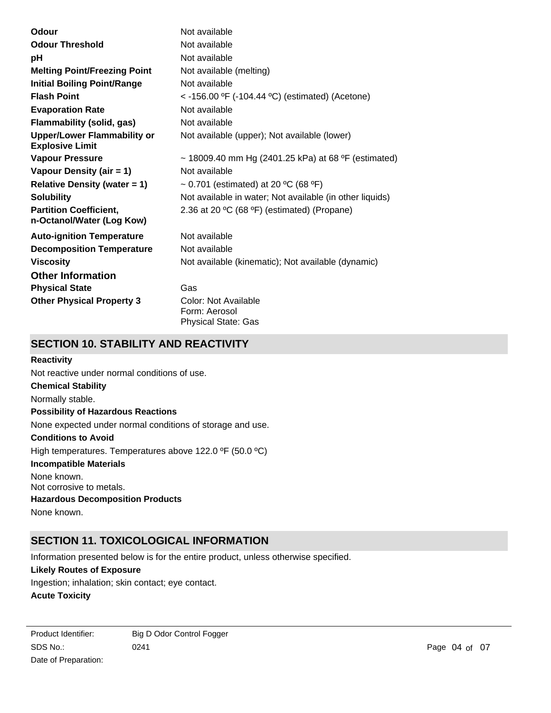| Odour                                                        | Not available                                            |
|--------------------------------------------------------------|----------------------------------------------------------|
| <b>Odour Threshold</b>                                       | Not available                                            |
| рH                                                           | Not available                                            |
| <b>Melting Point/Freezing Point</b>                          | Not available (melting)                                  |
| <b>Initial Boiling Point/Range</b>                           | Not available                                            |
| <b>Flash Point</b>                                           | $<$ -156.00 °F (-104.44 °C) (estimated) (Acetone)        |
| <b>Evaporation Rate</b>                                      | Not available                                            |
| <b>Flammability (solid, gas)</b>                             | Not available                                            |
| <b>Upper/Lower Flammability or</b><br><b>Explosive Limit</b> | Not available (upper); Not available (lower)             |
| <b>Vapour Pressure</b>                                       | ~ 18009.40 mm Hg (2401.25 kPa) at 68 °F (estimated)      |
| Vapour Density (air = 1)                                     | Not available                                            |
| <b>Relative Density (water = 1)</b>                          | ~ 0.701 (estimated) at 20 °C (68 °F)                     |
| <b>Solubility</b>                                            | Not available in water; Not available (in other liquids) |
| <b>Partition Coefficient,</b><br>n-Octanol/Water (Log Kow)   | 2.36 at 20 °C (68 °F) (estimated) (Propane)              |
| <b>Auto-ignition Temperature</b>                             | Not available                                            |
| <b>Decomposition Temperature</b>                             | Not available                                            |
| <b>Viscosity</b>                                             | Not available (kinematic); Not available (dynamic)       |
| <b>Other Information</b>                                     |                                                          |
| <b>Physical State</b>                                        | Gas                                                      |
| <b>Other Physical Property 3</b>                             | Color: Not Available<br>Form: Aerosol                    |
|                                                              | <b>Physical State: Gas</b>                               |

# **SECTION 10. STABILITY AND REACTIVITY**

#### **Reactivity**

**Chemical Stability** Normally stable. **Conditions to Avoid** High temperatures. Temperatures above 122.0 ºF (50.0 ºC) **Incompatible Materials** None known. Not corrosive to metals. **Hazardous Decomposition Products** None known. **Possibility of Hazardous Reactions** None expected under normal conditions of storage and use. Not reactive under normal conditions of use.

# **SECTION 11. TOXICOLOGICAL INFORMATION**

Information presented below is for the entire product, unless otherwise specified.

#### **Likely Routes of Exposure**

Ingestion; inhalation; skin contact; eye contact.

#### **Acute Toxicity**

SDS No.: Date of Preparation: 0241 **Page 04 of 07** Product Identifier: Big D Odor Control Fogger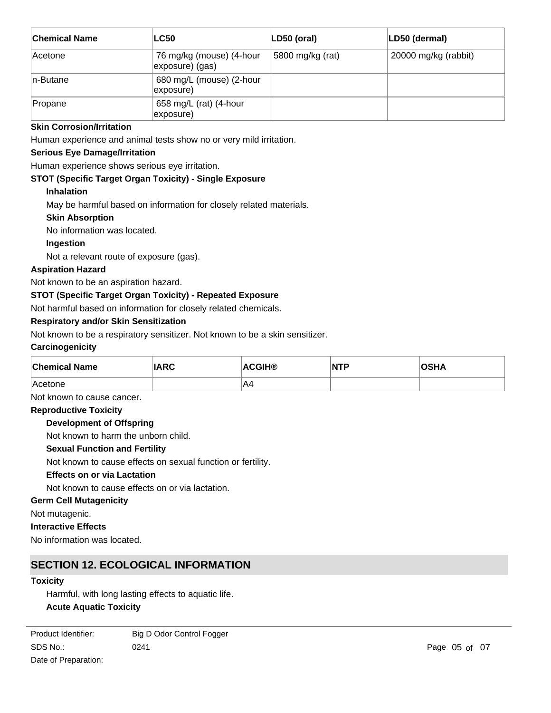| <b>Chemical Name</b> | <b>LC50</b>                                 | LD50 (oral)      | LD50 (dermal)        |
|----------------------|---------------------------------------------|------------------|----------------------|
| <b>Acetone</b>       | 76 mg/kg (mouse) (4-hour<br>exposure) (gas) | 5800 mg/kg (rat) | 20000 mg/kg (rabbit) |
| In-Butane            | 680 mg/L (mouse) (2-hour<br>exposure)       |                  |                      |
| Propane              | 658 mg/L (rat) (4-hour<br>exposure)         |                  |                      |

#### **Skin Corrosion/Irritation**

Human experience and animal tests show no or very mild irritation.

#### **Serious Eye Damage/Irritation**

Human experience shows serious eye irritation.

#### **STOT (Specific Target Organ Toxicity) - Single Exposure**

#### **Inhalation**

May be harmful based on information for closely related materials.

#### **Skin Absorption**

No information was located.

#### **Ingestion**

Not a relevant route of exposure (gas).

#### **Aspiration Hazard**

Not known to be an aspiration hazard.

#### **STOT (Specific Target Organ Toxicity) - Repeated Exposure**

Not harmful based on information for closely related chemicals.

#### **Respiratory and/or Skin Sensitization**

Not known to be a respiratory sensitizer. Not known to be a skin sensitizer.

#### **Carcinogenicity**

| <b>Chemical Name</b> | <b>IARC</b> | <b>ACGIH®</b> | NTP | OSHA |
|----------------------|-------------|---------------|-----|------|
| Acetone              |             | A4            |     |      |

Not known to cause cancer.

# **Reproductive Toxicity**

#### **Development of Offspring**

Not known to harm the unborn child.

#### **Sexual Function and Fertility**

Not known to cause effects on sexual function or fertility.

### **Effects on or via Lactation**

Not known to cause effects on or via lactation.

### **Germ Cell Mutagenicity**

Not mutagenic.

#### **Interactive Effects**

No information was located.

# **SECTION 12. ECOLOGICAL INFORMATION**

#### **Toxicity**

Harmful, with long lasting effects to aquatic life. **Acute Aquatic Toxicity**

SDS No.: 0241 **Page 05 of 07** Product Identifier: Big D Odor Control Fogger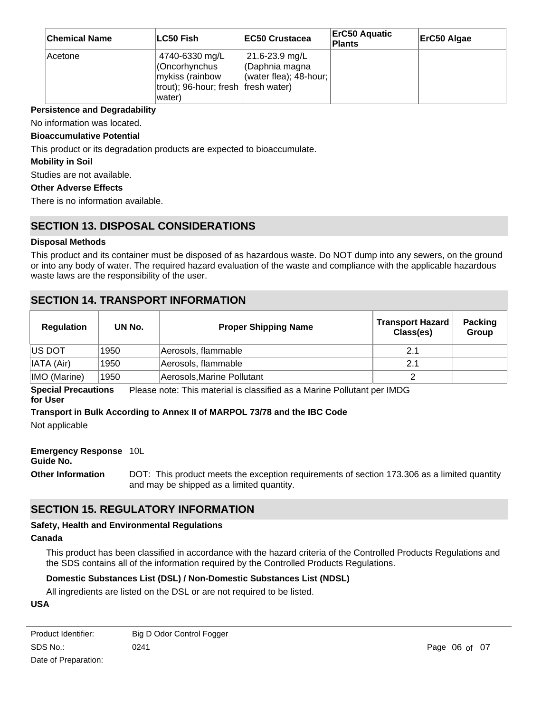| <b>Chemical Name</b> | ∣LC50 Fish                                                                                            | <b>IEC50 Crustacea</b>                                            | <b>ErC50 Aquatic</b><br><b>Plants</b> | ErC50 Algae |
|----------------------|-------------------------------------------------------------------------------------------------------|-------------------------------------------------------------------|---------------------------------------|-------------|
| Acetone              | 4740-6330 mg/L<br>(Oncorhynchus<br>mykiss (rainbow<br>trout); 96-hour; fresh   fresh water)<br>water) | 21.6-23.9 mg/L<br>CDaphnia magna<br>(water flea); $48$ -hour; $ $ |                                       |             |

#### **Persistence and Degradability**

No information was located.

#### **Bioaccumulative Potential**

This product or its degradation products are expected to bioaccumulate.

#### **Mobility in Soil**

Studies are not available.

#### **Other Adverse Effects**

There is no information available.

# **SECTION 13. DISPOSAL CONSIDERATIONS**

#### **Disposal Methods**

This product and its container must be disposed of as hazardous waste. Do NOT dump into any sewers, on the ground or into any body of water. The required hazard evaluation of the waste and compliance with the applicable hazardous waste laws are the responsibility of the user.

## **SECTION 14. TRANSPORT INFORMATION**

| <b>Regulation</b> | UN No. | <b>Proper Shipping Name</b> | <b>Transport Hazard</b><br>Class(es) | <b>Packing</b><br>Group |
|-------------------|--------|-----------------------------|--------------------------------------|-------------------------|
| <b>IUS DOT</b>    | 1950   | Aerosols, flammable         | 2.1                                  |                         |
| IATA (Air)        | 1950   | Aerosols, flammable         | 2.1                                  |                         |
| IMO (Marine)      | 1950   | Aerosols, Marine Pollutant  |                                      |                         |

**Special Precautions for User** Please note: This material is classified as a Marine Pollutant per IMDG

#### **Transport in Bulk According to Annex II of MARPOL 73/78 and the IBC Code**

Not applicable

#### **Emergency Response** 10L

#### **Guide No.**

**Other Information** DOT: This product meets the exception requirements of section 173.306 as a limited quantity and may be shipped as a limited quantity.

# **SECTION 15. REGULATORY INFORMATION**

#### **Safety, Health and Environmental Regulations**

#### **Canada**

This product has been classified in accordance with the hazard criteria of the Controlled Products Regulations and the SDS contains all of the information required by the Controlled Products Regulations.

### **Domestic Substances List (DSL) / Non-Domestic Substances List (NDSL)**

All ingredients are listed on the DSL or are not required to be listed.

#### **USA**

| Product Identifier: | Big D Odor Control Fogger |
|---------------------|---------------------------|
| SDS No.:            | 0241                      |
|                     |                           |